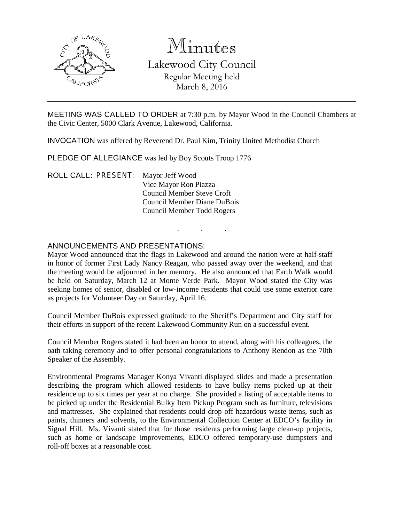

# Minutes Lakewood City Council Regular Meeting held

March 8, 2016

MEETING WAS CALLED TO ORDER at 7:30 p.m. by Mayor Wood in the Council Chambers at the Civic Center, 5000 Clark Avenue, Lakewood, California.

INVOCATION was offered by Reverend Dr. Paul Kim, Trinity United Methodist Church

PLEDGE OF ALLEGIANCE was led by Boy Scouts Troop 1776

ROLL CALL: PRESENT: Mayor Jeff Wood Vice Mayor Ron Piazza Council Member Steve Croft Council Member Diane DuBois Council Member Todd Rogers

## ANNOUNCEMENTS AND PRESENTATIONS:

Mayor Wood announced that the flags in Lakewood and around the nation were at half-staff in honor of former First Lady Nancy Reagan, who passed away over the weekend, and that the meeting would be adjourned in her memory. He also announced that Earth Walk would be held on Saturday, March 12 at Monte Verde Park. Mayor Wood stated the City was seeking homes of senior, disabled or low-income residents that could use some exterior care as projects for Volunteer Day on Saturday, April 16.

. . .

Council Member DuBois expressed gratitude to the Sheriff's Department and City staff for their efforts in support of the recent Lakewood Community Run on a successful event.

Council Member Rogers stated it had been an honor to attend, along with his colleagues, the oath taking ceremony and to offer personal congratulations to Anthony Rendon as the 70th Speaker of the Assembly.

Environmental Programs Manager Konya Vivanti displayed slides and made a presentation describing the program which allowed residents to have bulky items picked up at their residence up to six times per year at no charge. She provided a listing of acceptable items to be picked up under the Residential Bulky Item Pickup Program such as furniture, televisions and mattresses. She explained that residents could drop off hazardous waste items, such as paints, thinners and solvents, to the Environmental Collection Center at EDCO's facility in Signal Hill. Ms. Vivanti stated that for those residents performing large clean-up projects, such as home or landscape improvements, EDCO offered temporary-use dumpsters and roll-off boxes at a reasonable cost.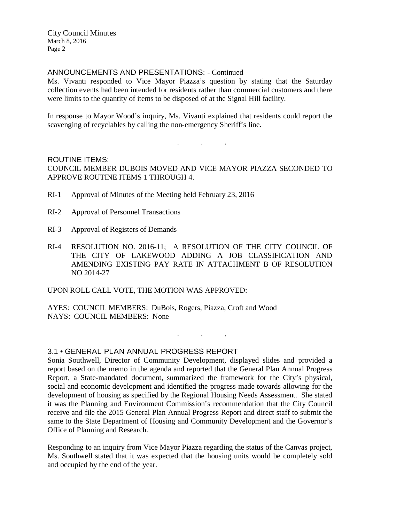City Council Minutes March 8, 2016 Page 2

### ANNOUNCEMENTS AND PRESENTATIONS: - Continued

Ms. Vivanti responded to Vice Mayor Piazza's question by stating that the Saturday collection events had been intended for residents rather than commercial customers and there were limits to the quantity of items to be disposed of at the Signal Hill facility.

In response to Mayor Wood's inquiry, Ms. Vivanti explained that residents could report the scavenging of recyclables by calling the non-emergency Sheriff's line.

. . .

ROUTINE ITEMS: COUNCIL MEMBER DUBOIS MOVED AND VICE MAYOR PIAZZA SECONDED TO APPROVE ROUTINE ITEMS 1 THROUGH 4.

- RI-1 Approval of Minutes of the Meeting held February 23, 2016
- RI-2 Approval of Personnel Transactions
- RI-3 Approval of Registers of Demands
- RI-4 RESOLUTION NO. 2016-11; A RESOLUTION OF THE CITY COUNCIL OF THE CITY OF LAKEWOOD ADDING A JOB CLASSIFICATION AND AMENDING EXISTING PAY RATE IN ATTACHMENT B OF RESOLUTION NO 2014-27

UPON ROLL CALL VOTE, THE MOTION WAS APPROVED:

AYES: COUNCIL MEMBERS: DuBois, Rogers, Piazza, Croft and Wood NAYS: COUNCIL MEMBERS: None

3.1 • GENERAL PLAN ANNUAL PROGRESS REPORT

Sonia Southwell, Director of Community Development, displayed slides and provided a report based on the memo in the agenda and reported that the General Plan Annual Progress Report, a State-mandated document, summarized the framework for the City's physical, social and economic development and identified the progress made towards allowing for the development of housing as specified by the Regional Housing Needs Assessment. She stated it was the Planning and Environment Commission's recommendation that the City Council receive and file the 2015 General Plan Annual Progress Report and direct staff to submit the same to the State Department of Housing and Community Development and the Governor's Office of Planning and Research.

. . .

Responding to an inquiry from Vice Mayor Piazza regarding the status of the Canvas project, Ms. Southwell stated that it was expected that the housing units would be completely sold and occupied by the end of the year.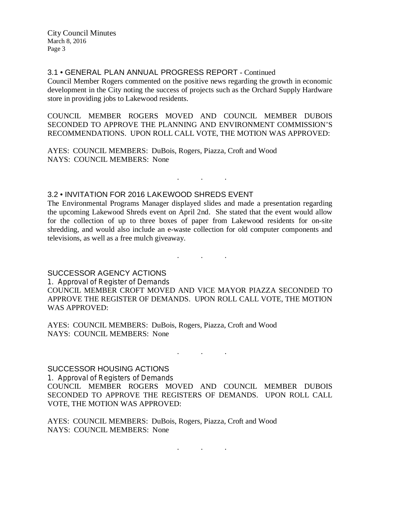City Council Minutes March 8, 2016 Page 3

#### 3.1 • GENERAL PLAN ANNUAL PROGRESS REPORT - Continued

Council Member Rogers commented on the positive news regarding the growth in economic development in the City noting the success of projects such as the Orchard Supply Hardware store in providing jobs to Lakewood residents.

COUNCIL MEMBER ROGERS MOVED AND COUNCIL MEMBER DUBOIS SECONDED TO APPROVE THE PLANNING AND ENVIRONMENT COMMISSION'S RECOMMENDATIONS. UPON ROLL CALL VOTE, THE MOTION WAS APPROVED:

AYES: COUNCIL MEMBERS: DuBois, Rogers, Piazza, Croft and Wood NAYS: COUNCIL MEMBERS: None

## 3.2 • INVITATION FOR 2016 LAKEWOOD SHREDS EVENT

The Environmental Programs Manager displayed slides and made a presentation regarding the upcoming Lakewood Shreds event on April 2nd. She stated that the event would allow for the collection of up to three boxes of paper from Lakewood residents for on-site shredding, and would also include an e-waste collection for old computer components and televisions, as well as a free mulch giveaway.

. . .

. . .

SUCCESSOR AGENCY ACTIONS

1. Approval of Register of Demands COUNCIL MEMBER CROFT MOVED AND VICE MAYOR PIAZZA SECONDED TO APPROVE THE REGISTER OF DEMANDS. UPON ROLL CALL VOTE, THE MOTION WAS APPROVED:

AYES: COUNCIL MEMBERS: DuBois, Rogers, Piazza, Croft and Wood NAYS: COUNCIL MEMBERS: None

SUCCESSOR HOUSING ACTIONS

1. Approval of Registers of Demands COUNCIL MEMBER ROGERS MOVED AND COUNCIL MEMBER DUBOIS SECONDED TO APPROVE THE REGISTERS OF DEMANDS. UPON ROLL CALL VOTE, THE MOTION WAS APPROVED:

. . .

AYES: COUNCIL MEMBERS: DuBois, Rogers, Piazza, Croft and Wood NAYS: COUNCIL MEMBERS: None

. . .